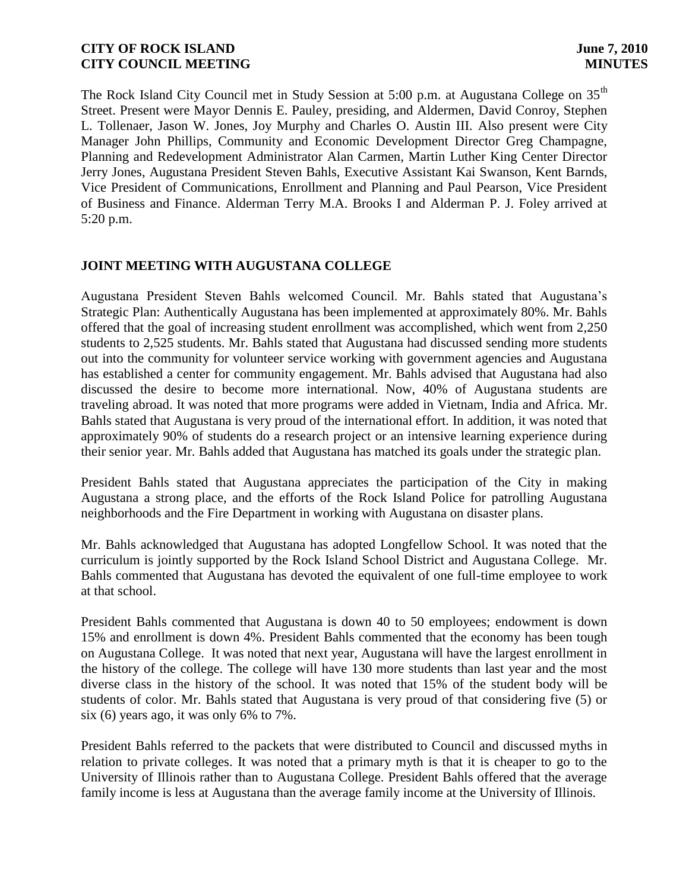The Rock Island City Council met in Study Session at 5:00 p.m. at Augustana College on 35<sup>th</sup> Street. Present were Mayor Dennis E. Pauley, presiding, and Aldermen, David Conroy, Stephen L. Tollenaer, Jason W. Jones, Joy Murphy and Charles O. Austin III. Also present were City Manager John Phillips, Community and Economic Development Director Greg Champagne, Planning and Redevelopment Administrator Alan Carmen, Martin Luther King Center Director Jerry Jones, Augustana President Steven Bahls, Executive Assistant Kai Swanson, Kent Barnds, Vice President of Communications, Enrollment and Planning and Paul Pearson, Vice President of Business and Finance. Alderman Terry M.A. Brooks I and Alderman P. J. Foley arrived at 5:20 p.m.

# **JOINT MEETING WITH AUGUSTANA COLLEGE**

Augustana President Steven Bahls welcomed Council. Mr. Bahls stated that Augustana's Strategic Plan: Authentically Augustana has been implemented at approximately 80%. Mr. Bahls offered that the goal of increasing student enrollment was accomplished, which went from 2,250 students to 2,525 students. Mr. Bahls stated that Augustana had discussed sending more students out into the community for volunteer service working with government agencies and Augustana has established a center for community engagement. Mr. Bahls advised that Augustana had also discussed the desire to become more international. Now, 40% of Augustana students are traveling abroad. It was noted that more programs were added in Vietnam, India and Africa. Mr. Bahls stated that Augustana is very proud of the international effort. In addition, it was noted that approximately 90% of students do a research project or an intensive learning experience during their senior year. Mr. Bahls added that Augustana has matched its goals under the strategic plan.

President Bahls stated that Augustana appreciates the participation of the City in making Augustana a strong place, and the efforts of the Rock Island Police for patrolling Augustana neighborhoods and the Fire Department in working with Augustana on disaster plans.

Mr. Bahls acknowledged that Augustana has adopted Longfellow School. It was noted that the curriculum is jointly supported by the Rock Island School District and Augustana College. Mr. Bahls commented that Augustana has devoted the equivalent of one full-time employee to work at that school.

President Bahls commented that Augustana is down 40 to 50 employees; endowment is down 15% and enrollment is down 4%. President Bahls commented that the economy has been tough on Augustana College. It was noted that next year, Augustana will have the largest enrollment in the history of the college. The college will have 130 more students than last year and the most diverse class in the history of the school. It was noted that 15% of the student body will be students of color. Mr. Bahls stated that Augustana is very proud of that considering five (5) or six (6) years ago, it was only 6% to 7%.

President Bahls referred to the packets that were distributed to Council and discussed myths in relation to private colleges. It was noted that a primary myth is that it is cheaper to go to the University of Illinois rather than to Augustana College. President Bahls offered that the average family income is less at Augustana than the average family income at the University of Illinois.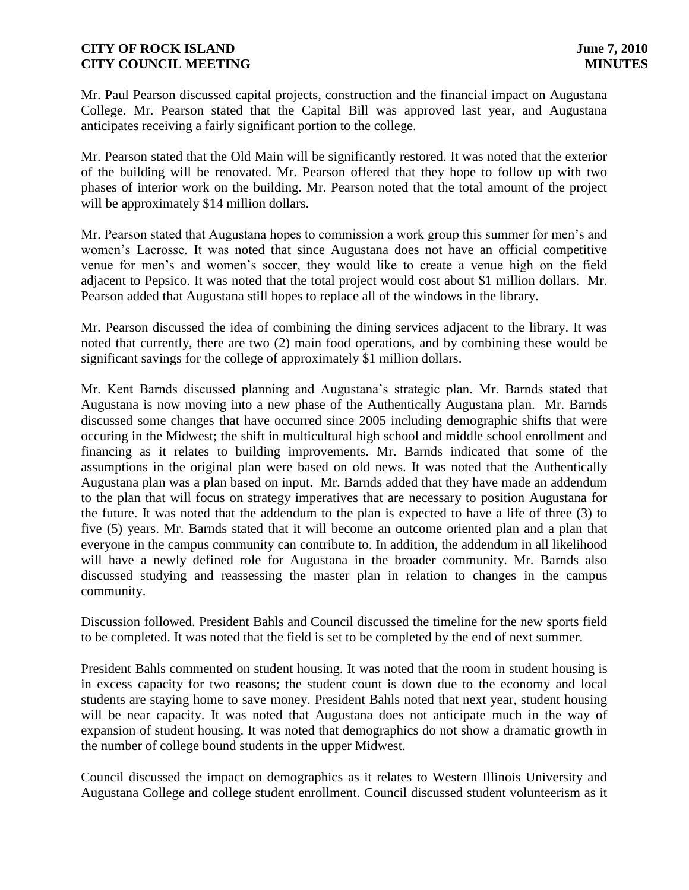Mr. Paul Pearson discussed capital projects, construction and the financial impact on Augustana College. Mr. Pearson stated that the Capital Bill was approved last year, and Augustana anticipates receiving a fairly significant portion to the college.

Mr. Pearson stated that the Old Main will be significantly restored. It was noted that the exterior of the building will be renovated. Mr. Pearson offered that they hope to follow up with two phases of interior work on the building. Mr. Pearson noted that the total amount of the project will be approximately \$14 million dollars.

Mr. Pearson stated that Augustana hopes to commission a work group this summer for men's and women's Lacrosse. It was noted that since Augustana does not have an official competitive venue for men's and women's soccer, they would like to create a venue high on the field adjacent to Pepsico. It was noted that the total project would cost about \$1 million dollars. Mr. Pearson added that Augustana still hopes to replace all of the windows in the library.

Mr. Pearson discussed the idea of combining the dining services adjacent to the library. It was noted that currently, there are two (2) main food operations, and by combining these would be significant savings for the college of approximately \$1 million dollars.

Mr. Kent Barnds discussed planning and Augustana's strategic plan. Mr. Barnds stated that Augustana is now moving into a new phase of the Authentically Augustana plan. Mr. Barnds discussed some changes that have occurred since 2005 including demographic shifts that were occuring in the Midwest; the shift in multicultural high school and middle school enrollment and financing as it relates to building improvements. Mr. Barnds indicated that some of the assumptions in the original plan were based on old news. It was noted that the Authentically Augustana plan was a plan based on input. Mr. Barnds added that they have made an addendum to the plan that will focus on strategy imperatives that are necessary to position Augustana for the future. It was noted that the addendum to the plan is expected to have a life of three (3) to five (5) years. Mr. Barnds stated that it will become an outcome oriented plan and a plan that everyone in the campus community can contribute to. In addition, the addendum in all likelihood will have a newly defined role for Augustana in the broader community. Mr. Barnds also discussed studying and reassessing the master plan in relation to changes in the campus community.

Discussion followed. President Bahls and Council discussed the timeline for the new sports field to be completed. It was noted that the field is set to be completed by the end of next summer.

President Bahls commented on student housing. It was noted that the room in student housing is in excess capacity for two reasons; the student count is down due to the economy and local students are staying home to save money. President Bahls noted that next year, student housing will be near capacity. It was noted that Augustana does not anticipate much in the way of expansion of student housing. It was noted that demographics do not show a dramatic growth in the number of college bound students in the upper Midwest.

Council discussed the impact on demographics as it relates to Western Illinois University and Augustana College and college student enrollment. Council discussed student volunteerism as it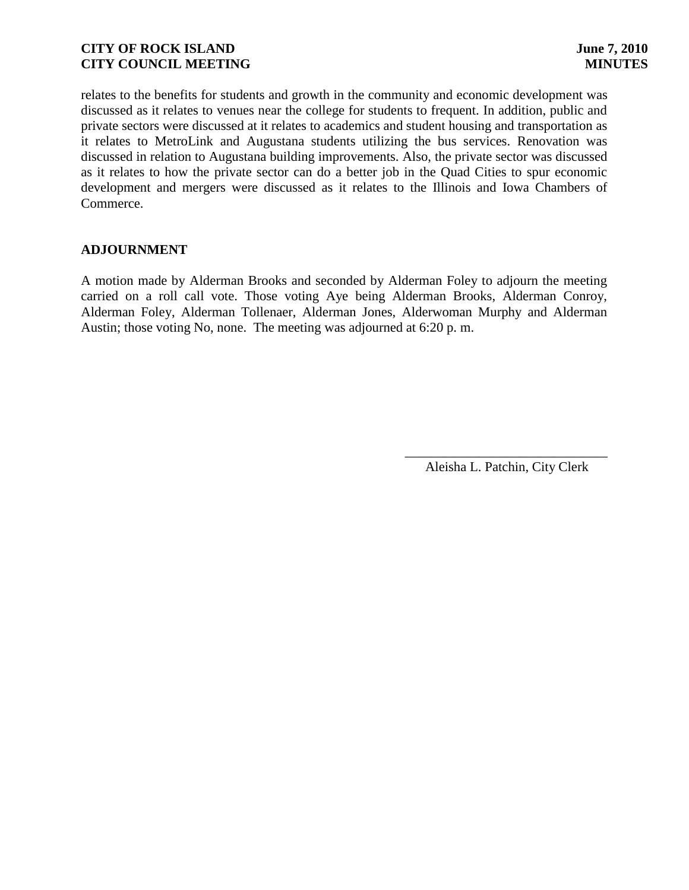relates to the benefits for students and growth in the community and economic development was discussed as it relates to venues near the college for students to frequent. In addition, public and private sectors were discussed at it relates to academics and student housing and transportation as it relates to MetroLink and Augustana students utilizing the bus services. Renovation was discussed in relation to Augustana building improvements. Also, the private sector was discussed as it relates to how the private sector can do a better job in the Quad Cities to spur economic development and mergers were discussed as it relates to the Illinois and Iowa Chambers of Commerce.

# **ADJOURNMENT**

A motion made by Alderman Brooks and seconded by Alderman Foley to adjourn the meeting carried on a roll call vote. Those voting Aye being Alderman Brooks, Alderman Conroy, Alderman Foley, Alderman Tollenaer, Alderman Jones, Alderwoman Murphy and Alderman Austin; those voting No, none. The meeting was adjourned at 6:20 p. m.

> \_\_\_\_\_\_\_\_\_\_\_\_\_\_\_\_\_\_\_\_\_\_\_\_\_\_\_\_\_\_ Aleisha L. Patchin, City Clerk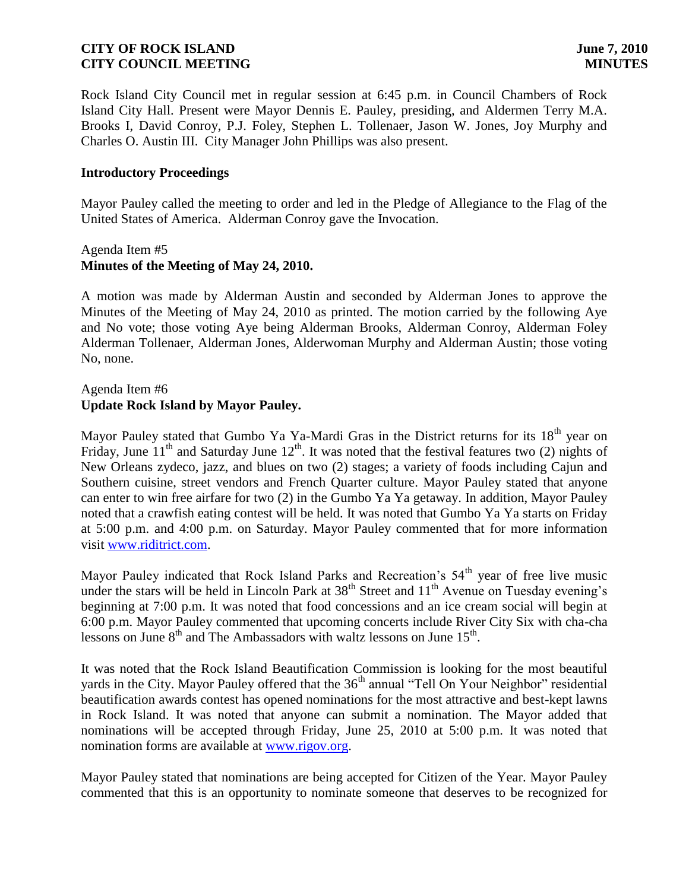Rock Island City Council met in regular session at 6:45 p.m. in Council Chambers of Rock Island City Hall. Present were Mayor Dennis E. Pauley, presiding, and Aldermen Terry M.A. Brooks I, David Conroy, P.J. Foley, Stephen L. Tollenaer, Jason W. Jones, Joy Murphy and Charles O. Austin III. City Manager John Phillips was also present.

### **Introductory Proceedings**

Mayor Pauley called the meeting to order and led in the Pledge of Allegiance to the Flag of the United States of America. Alderman Conroy gave the Invocation.

### Agenda Item #5 **Minutes of the Meeting of May 24, 2010.**

A motion was made by Alderman Austin and seconded by Alderman Jones to approve the Minutes of the Meeting of May 24, 2010 as printed. The motion carried by the following Aye and No vote; those voting Aye being Alderman Brooks, Alderman Conroy, Alderman Foley Alderman Tollenaer, Alderman Jones, Alderwoman Murphy and Alderman Austin; those voting No, none.

### Agenda Item #6 **Update Rock Island by Mayor Pauley.**

Mayor Pauley stated that Gumbo Ya Ya-Mardi Gras in the District returns for its 18<sup>th</sup> year on Friday, June 11<sup>th</sup> and Saturday June 12<sup>th</sup>. It was noted that the festival features two (2) nights of New Orleans zydeco, jazz, and blues on two (2) stages; a variety of foods including Cajun and Southern cuisine, street vendors and French Quarter culture. Mayor Pauley stated that anyone can enter to win free airfare for two (2) in the Gumbo Ya Ya getaway. In addition, Mayor Pauley noted that a crawfish eating contest will be held. It was noted that Gumbo Ya Ya starts on Friday at 5:00 p.m. and 4:00 p.m. on Saturday. Mayor Pauley commented that for more information visit [www.riditrict.com.](http://www.riditrict.com/)

Mayor Pauley indicated that Rock Island Parks and Recreation's 54<sup>th</sup> year of free live music under the stars will be held in Lincoln Park at  $38<sup>th</sup>$  Street and  $11<sup>th</sup>$  Avenue on Tuesday evening's beginning at 7:00 p.m. It was noted that food concessions and an ice cream social will begin at 6:00 p.m. Mayor Pauley commented that upcoming concerts include River City Six with cha-cha lessons on June  $8<sup>th</sup>$  and The Ambassadors with waltz lessons on June  $15<sup>th</sup>$ .

It was noted that the Rock Island Beautification Commission is looking for the most beautiful yards in the City. Mayor Pauley offered that the  $36<sup>th</sup>$  annual "Tell On Your Neighbor" residential beautification awards contest has opened nominations for the most attractive and best-kept lawns in Rock Island. It was noted that anyone can submit a nomination. The Mayor added that nominations will be accepted through Friday, June 25, 2010 at 5:00 p.m. It was noted that nomination forms are available at [www.rigov.org.](http://www.rigov.org/)

Mayor Pauley stated that nominations are being accepted for Citizen of the Year. Mayor Pauley commented that this is an opportunity to nominate someone that deserves to be recognized for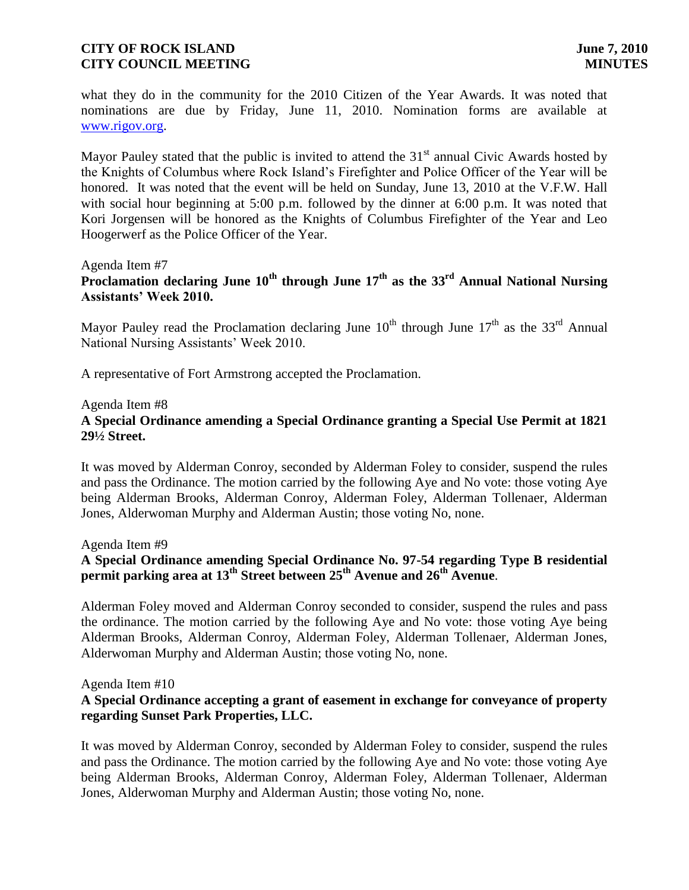what they do in the community for the 2010 Citizen of the Year Awards. It was noted that nominations are due by Friday, June 11, 2010. Nomination forms are available at [www.rigov.org.](http://www.rigov.org/)

Mayor Pauley stated that the public is invited to attend the  $31<sup>st</sup>$  annual Civic Awards hosted by the Knights of Columbus where Rock Island's Firefighter and Police Officer of the Year will be honored. It was noted that the event will be held on Sunday, June 13, 2010 at the V.F.W. Hall with social hour beginning at 5:00 p.m. followed by the dinner at 6:00 p.m. It was noted that Kori Jorgensen will be honored as the Knights of Columbus Firefighter of the Year and Leo Hoogerwerf as the Police Officer of the Year.

#### Agenda Item #7

**Proclamation declaring June 10th through June 17th as the 33rd Annual National Nursing Assistants' Week 2010.**

Mayor Pauley read the Proclamation declaring June  $10^{th}$  through June  $17^{th}$  as the 33<sup>rd</sup> Annual National Nursing Assistants' Week 2010.

A representative of Fort Armstrong accepted the Proclamation.

#### Agenda Item #8

# **A Special Ordinance amending a Special Ordinance granting a Special Use Permit at 1821 29½ Street.**

It was moved by Alderman Conroy, seconded by Alderman Foley to consider, suspend the rules and pass the Ordinance. The motion carried by the following Aye and No vote: those voting Aye being Alderman Brooks, Alderman Conroy, Alderman Foley, Alderman Tollenaer, Alderman Jones, Alderwoman Murphy and Alderman Austin; those voting No, none.

Agenda Item #9

# **A Special Ordinance amending Special Ordinance No. 97-54 regarding Type B residential permit parking area at 13th Street between 25th Avenue and 26th Avenue**.

Alderman Foley moved and Alderman Conroy seconded to consider, suspend the rules and pass the ordinance. The motion carried by the following Aye and No vote: those voting Aye being Alderman Brooks, Alderman Conroy, Alderman Foley, Alderman Tollenaer, Alderman Jones, Alderwoman Murphy and Alderman Austin; those voting No, none.

Agenda Item #10

# **A Special Ordinance accepting a grant of easement in exchange for conveyance of property regarding Sunset Park Properties, LLC.**

It was moved by Alderman Conroy, seconded by Alderman Foley to consider, suspend the rules and pass the Ordinance. The motion carried by the following Aye and No vote: those voting Aye being Alderman Brooks, Alderman Conroy, Alderman Foley, Alderman Tollenaer, Alderman Jones, Alderwoman Murphy and Alderman Austin; those voting No, none.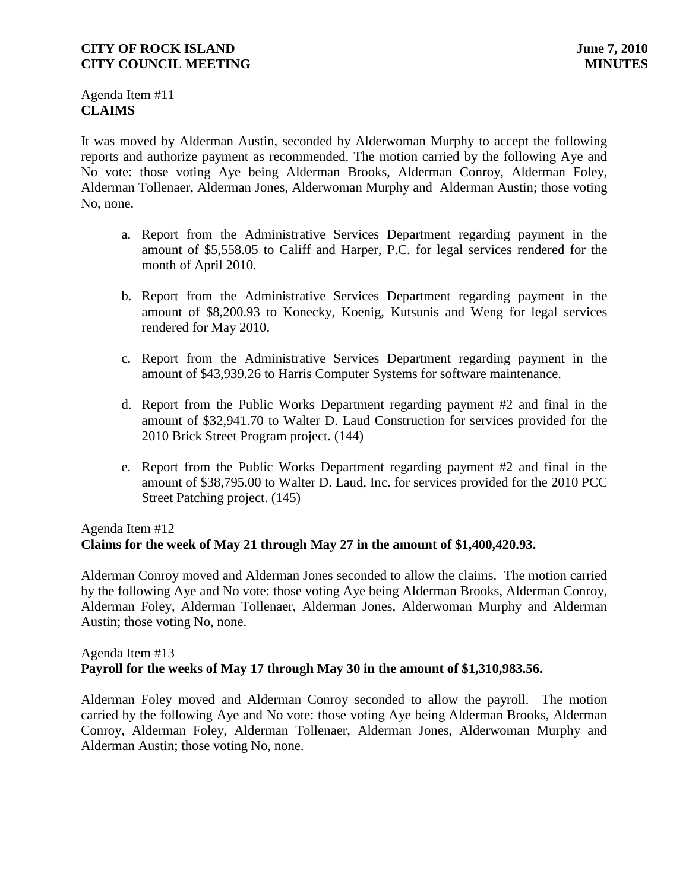Agenda Item #11 **CLAIMS**

It was moved by Alderman Austin, seconded by Alderwoman Murphy to accept the following reports and authorize payment as recommended. The motion carried by the following Aye and No vote: those voting Aye being Alderman Brooks, Alderman Conroy, Alderman Foley, Alderman Tollenaer, Alderman Jones, Alderwoman Murphy and Alderman Austin; those voting No, none.

- a. Report from the Administrative Services Department regarding payment in the amount of \$5,558.05 to Califf and Harper, P.C. for legal services rendered for the month of April 2010.
- b. Report from the Administrative Services Department regarding payment in the amount of \$8,200.93 to Konecky, Koenig, Kutsunis and Weng for legal services rendered for May 2010.
- c. Report from the Administrative Services Department regarding payment in the amount of \$43,939.26 to Harris Computer Systems for software maintenance.
- d. Report from the Public Works Department regarding payment #2 and final in the amount of \$32,941.70 to Walter D. Laud Construction for services provided for the 2010 Brick Street Program project. (144)
- e. Report from the Public Works Department regarding payment #2 and final in the amount of \$38,795.00 to Walter D. Laud, Inc. for services provided for the 2010 PCC Street Patching project. (145)

# Agenda Item #12 **Claims for the week of May 21 through May 27 in the amount of \$1,400,420.93.**

Alderman Conroy moved and Alderman Jones seconded to allow the claims. The motion carried by the following Aye and No vote: those voting Aye being Alderman Brooks, Alderman Conroy, Alderman Foley, Alderman Tollenaer, Alderman Jones, Alderwoman Murphy and Alderman Austin; those voting No, none.

# Agenda Item #13 **Payroll for the weeks of May 17 through May 30 in the amount of \$1,310,983.56.**

Alderman Foley moved and Alderman Conroy seconded to allow the payroll. The motion carried by the following Aye and No vote: those voting Aye being Alderman Brooks, Alderman Conroy, Alderman Foley, Alderman Tollenaer, Alderman Jones, Alderwoman Murphy and Alderman Austin; those voting No, none.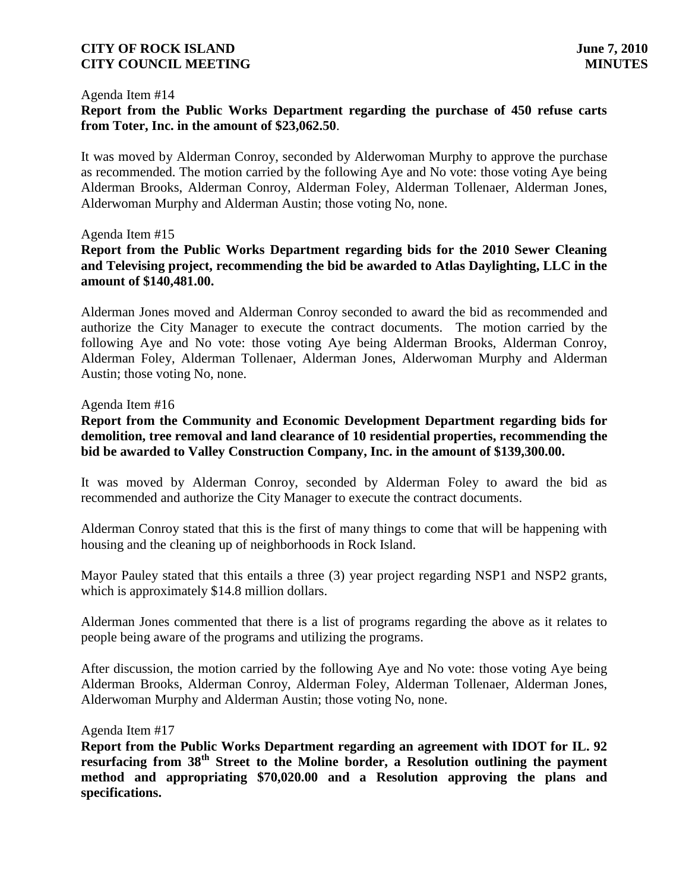#### Agenda Item #14

### **Report from the Public Works Department regarding the purchase of 450 refuse carts from Toter, Inc. in the amount of \$23,062.50**.

It was moved by Alderman Conroy, seconded by Alderwoman Murphy to approve the purchase as recommended. The motion carried by the following Aye and No vote: those voting Aye being Alderman Brooks, Alderman Conroy, Alderman Foley, Alderman Tollenaer, Alderman Jones, Alderwoman Murphy and Alderman Austin; those voting No, none.

#### Agenda Item #15

# **Report from the Public Works Department regarding bids for the 2010 Sewer Cleaning and Televising project, recommending the bid be awarded to Atlas Daylighting, LLC in the amount of \$140,481.00.**

Alderman Jones moved and Alderman Conroy seconded to award the bid as recommended and authorize the City Manager to execute the contract documents. The motion carried by the following Aye and No vote: those voting Aye being Alderman Brooks, Alderman Conroy, Alderman Foley, Alderman Tollenaer, Alderman Jones, Alderwoman Murphy and Alderman Austin; those voting No, none.

#### Agenda Item #16

**Report from the Community and Economic Development Department regarding bids for demolition, tree removal and land clearance of 10 residential properties, recommending the bid be awarded to Valley Construction Company, Inc. in the amount of \$139,300.00.**

It was moved by Alderman Conroy, seconded by Alderman Foley to award the bid as recommended and authorize the City Manager to execute the contract documents.

Alderman Conroy stated that this is the first of many things to come that will be happening with housing and the cleaning up of neighborhoods in Rock Island.

Mayor Pauley stated that this entails a three (3) year project regarding NSP1 and NSP2 grants, which is approximately \$14.8 million dollars.

Alderman Jones commented that there is a list of programs regarding the above as it relates to people being aware of the programs and utilizing the programs.

After discussion, the motion carried by the following Aye and No vote: those voting Aye being Alderman Brooks, Alderman Conroy, Alderman Foley, Alderman Tollenaer, Alderman Jones, Alderwoman Murphy and Alderman Austin; those voting No, none.

#### Agenda Item #17

**Report from the Public Works Department regarding an agreement with IDOT for IL. 92 resurfacing from 38th Street to the Moline border, a Resolution outlining the payment method and appropriating \$70,020.00 and a Resolution approving the plans and specifications.**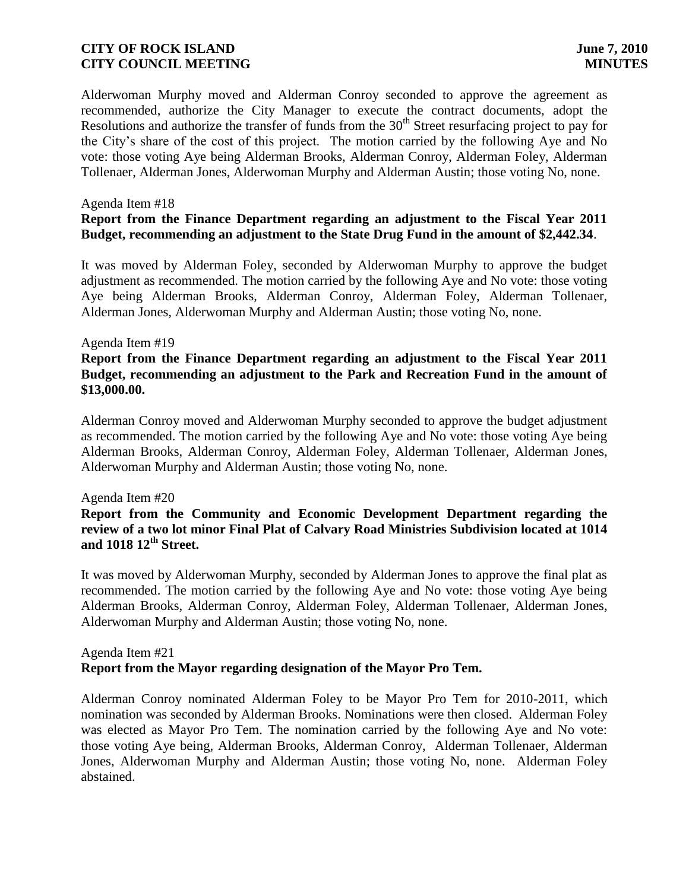Alderwoman Murphy moved and Alderman Conroy seconded to approve the agreement as recommended, authorize the City Manager to execute the contract documents, adopt the Resolutions and authorize the transfer of funds from the  $30<sup>th</sup>$  Street resurfacing project to pay for the City's share of the cost of this project. The motion carried by the following Aye and No vote: those voting Aye being Alderman Brooks, Alderman Conroy, Alderman Foley, Alderman Tollenaer, Alderman Jones, Alderwoman Murphy and Alderman Austin; those voting No, none.

#### Agenda Item #18

# **Report from the Finance Department regarding an adjustment to the Fiscal Year 2011 Budget, recommending an adjustment to the State Drug Fund in the amount of \$2,442.34**.

It was moved by Alderman Foley, seconded by Alderwoman Murphy to approve the budget adjustment as recommended. The motion carried by the following Aye and No vote: those voting Aye being Alderman Brooks, Alderman Conroy, Alderman Foley, Alderman Tollenaer, Alderman Jones, Alderwoman Murphy and Alderman Austin; those voting No, none.

#### Agenda Item #19

# **Report from the Finance Department regarding an adjustment to the Fiscal Year 2011 Budget, recommending an adjustment to the Park and Recreation Fund in the amount of \$13,000.00.**

Alderman Conroy moved and Alderwoman Murphy seconded to approve the budget adjustment as recommended. The motion carried by the following Aye and No vote: those voting Aye being Alderman Brooks, Alderman Conroy, Alderman Foley, Alderman Tollenaer, Alderman Jones, Alderwoman Murphy and Alderman Austin; those voting No, none.

#### Agenda Item #20

# **Report from the Community and Economic Development Department regarding the review of a two lot minor Final Plat of Calvary Road Ministries Subdivision located at 1014 and 1018 12th Street.**

It was moved by Alderwoman Murphy, seconded by Alderman Jones to approve the final plat as recommended. The motion carried by the following Aye and No vote: those voting Aye being Alderman Brooks, Alderman Conroy, Alderman Foley, Alderman Tollenaer, Alderman Jones, Alderwoman Murphy and Alderman Austin; those voting No, none.

### Agenda Item #21 **Report from the Mayor regarding designation of the Mayor Pro Tem.**

Alderman Conroy nominated Alderman Foley to be Mayor Pro Tem for 2010-2011, which nomination was seconded by Alderman Brooks. Nominations were then closed. Alderman Foley was elected as Mayor Pro Tem. The nomination carried by the following Aye and No vote: those voting Aye being, Alderman Brooks, Alderman Conroy, Alderman Tollenaer, Alderman Jones, Alderwoman Murphy and Alderman Austin; those voting No, none. Alderman Foley abstained.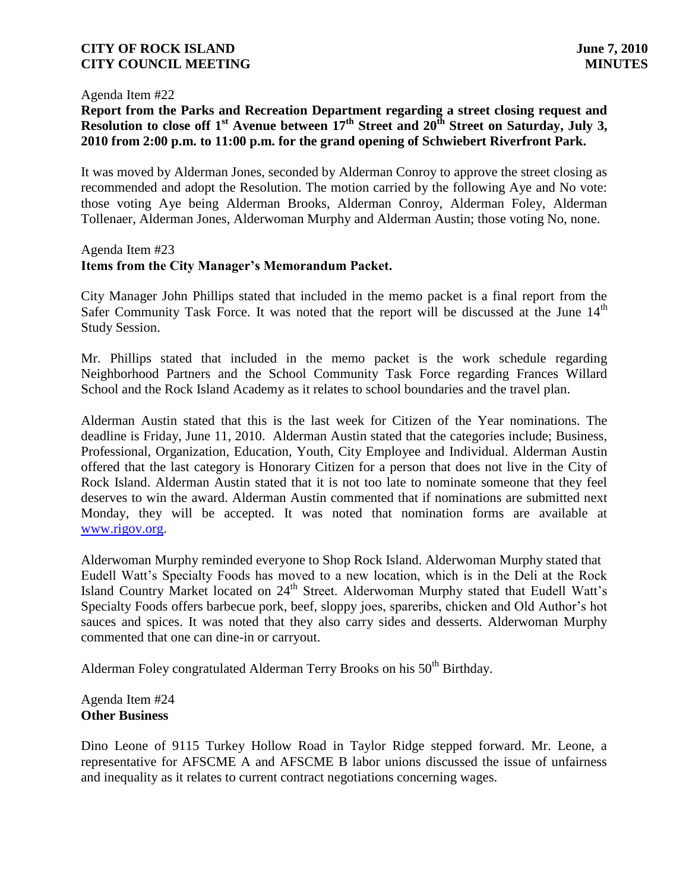#### Agenda Item #22

# **Report from the Parks and Recreation Department regarding a street closing request and Resolution to close off 1st Avenue between 17th Street and 20th Street on Saturday, July 3, 2010 from 2:00 p.m. to 11:00 p.m. for the grand opening of Schwiebert Riverfront Park.**

It was moved by Alderman Jones, seconded by Alderman Conroy to approve the street closing as recommended and adopt the Resolution. The motion carried by the following Aye and No vote: those voting Aye being Alderman Brooks, Alderman Conroy, Alderman Foley, Alderman Tollenaer, Alderman Jones, Alderwoman Murphy and Alderman Austin; those voting No, none.

#### Agenda Item #23

### **Items from the City Manager's Memorandum Packet.**

City Manager John Phillips stated that included in the memo packet is a final report from the Safer Community Task Force. It was noted that the report will be discussed at the June  $14<sup>th</sup>$ Study Session.

Mr. Phillips stated that included in the memo packet is the work schedule regarding Neighborhood Partners and the School Community Task Force regarding Frances Willard School and the Rock Island Academy as it relates to school boundaries and the travel plan.

Alderman Austin stated that this is the last week for Citizen of the Year nominations. The deadline is Friday, June 11, 2010. Alderman Austin stated that the categories include; Business, Professional, Organization, Education, Youth, City Employee and Individual. Alderman Austin offered that the last category is Honorary Citizen for a person that does not live in the City of Rock Island. Alderman Austin stated that it is not too late to nominate someone that they feel deserves to win the award. Alderman Austin commented that if nominations are submitted next Monday, they will be accepted. It was noted that nomination forms are available at [www.rigov.org.](http://www.rigov.org/)

Alderwoman Murphy reminded everyone to Shop Rock Island. Alderwoman Murphy stated that Eudell Watt's Specialty Foods has moved to a new location, which is in the Deli at the Rock Island Country Market located on 24<sup>th</sup> Street. Alderwoman Murphy stated that Eudell Watt's Specialty Foods offers barbecue pork, beef, sloppy joes, spareribs, chicken and Old Author's hot sauces and spices. It was noted that they also carry sides and desserts. Alderwoman Murphy commented that one can dine-in or carryout.

Alderman Foley congratulated Alderman Terry Brooks on his 50<sup>th</sup> Birthday.

Agenda Item #24 **Other Business**

Dino Leone of 9115 Turkey Hollow Road in Taylor Ridge stepped forward. Mr. Leone, a representative for AFSCME A and AFSCME B labor unions discussed the issue of unfairness and inequality as it relates to current contract negotiations concerning wages.